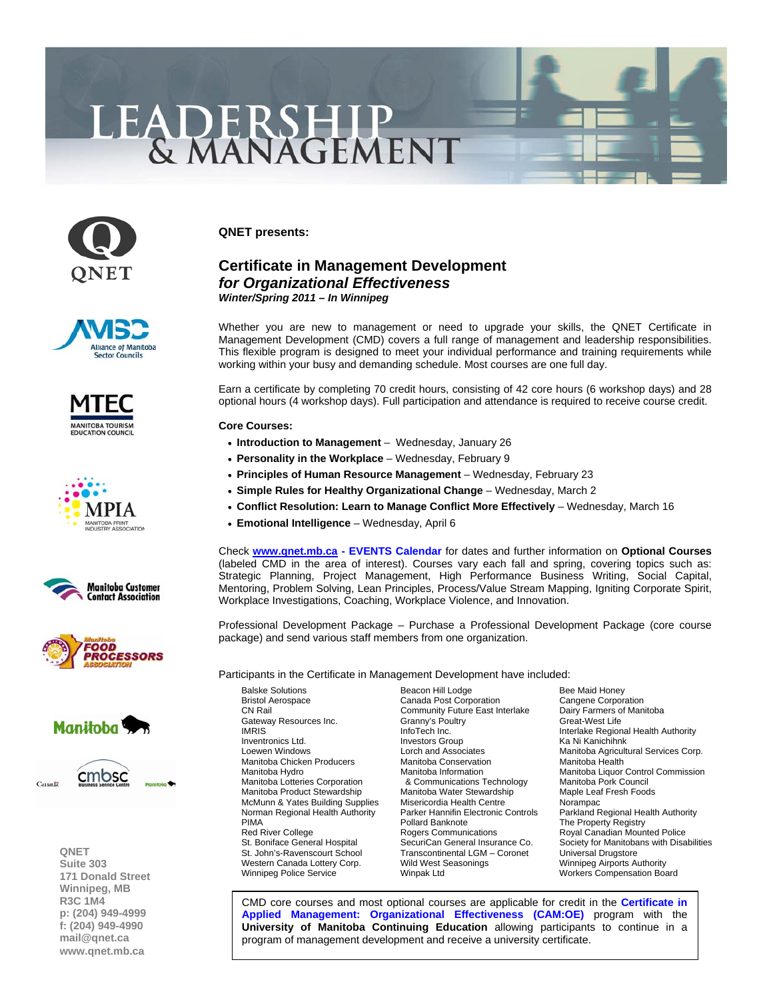## LEADERSHIP



**QNET presents:** 

## **Certificate in Management Development**  *for Organizational Effectiveness Winter/Spring 2011 – In Winnipeg*

Whether you are new to management or need to upgrade your skills, the QNET Certificate in Management Development (CMD) covers a full range of management and leadership responsibilities. This flexible program is designed to meet your individual performance and training requirements while working within your busy and demanding schedule. Most courses are one full day.

Earn a certificate by completing 70 credit hours, consisting of 42 core hours (6 workshop days) and 28 optional hours (4 workshop days). Full participation and attendance is required to receive course credit.

## **Core Courses:**

- **[Introduction to Management](http://www.qnet.mb.ca/events2006/2011%20Intro%20to%20Management%20Jan%2026.pdf)** Wednesday, January 26
- **[Personality in the Workplace](http://www.qnet.mb.ca/events2006/2011%20Personality%20in%20the%20WP%20Feb%209.pdf)**  Wednesday, February 9
- **[Principles of Human Resource Management](http://www.qnet.mb.ca/events2006/2011%20Principles%20of%20HR%20Mgmt%20Feb%2023.pdf)** Wednesday, February 23
- **[Simple Rules for Healthy Organizational Change](http://www.qnet.mb.ca/events2006/2011%20Simple%20Rules%20for%20Change%20Mar%202.pdf)** Wednesday, March 2
- **[Conflict Resolution: Learn to Manage Conflict More Effectively](http://www.qnet.mb.ca/events2006/2011%20Conflict%20Resolution%20Mar%2016.pdf)** Wednesday, March 16
- **[Emotional Intelligence](http://www.qnet.mb.ca/events2006/2011%20Emotional%20Intelligence%20Apr%206.pdf)** Wednesday, April 6

Check **[www.qnet.mb.ca -](http://www.qnet.mb.ca) EVENTS Calendar** for dates and further information on **Optional Courses** (labeled CMD in the area [of interest\). Courses v](http://www.qnet.mb.ca/events2006/events.htm)ary each fall and spring, covering topics such as: Strategic Planning, Project Management, High Performance Business Writing, Social Capital, Mentoring, Problem Solving, Lean Principles, Process/Value Stream Mapping, Igniting Corporate Spirit, Workplace Investigations, Coaching, Workplace Violence, and Innovation.

Professional Development Package – Purchase a Professional Development Package (core course package) and send various staff members from one organization.

Participants in the Certificate in Management Development have included:

Balske Solutions **Beacon Hill Lodge** Bee Maid Honey<br>
Bristol Aerospace **Bristol Access** Canada Post Corporation Cangene Corporation Bristol Aerospace **Canada Post Corporation** Corporation<br>
CN Rail Community Future East Interlake Dairy Farmers of Manitoba Gateway Resources Inc. Granny's Poultry Granny's Poultry<br>IMRIS IMRIS InfoTech Inc. Interlake Regional Health Authority Inventronics Ltd. Investors Group Communication Care in Manichihnk<br>
Lorch and Associates Manitoba Agricult Manitoba Chicken Producers Manitoba Conservation Manitoba Health Manitoba Hydro **Manitoba Manitoba Information** Manitoba Liquor Control Commission<br>Manitoba Lotteries Corporation **Manitoba Communications Technology** Manitoba Pork Council Manitoba Product Stewardship Manitoba Water Stewardship Maple Leaf Fresh Foods McMunn & Yates Building Supplies Misericordia Health Centre Norampac PIMA<br>
Pollard Banknote The Property Registry<br>
Royal Canadian Moun<br>
Royal Canadian Moun Red River College **Rogers Communications** Royal Canadian Mounted Police<br>
St. Boniface General Hospital SecuriCan General Insurance Co. Society for Manitobans with Disa St. Boniface General Hospital SecuriCan General Insurance Co. Society for Manitobans with Disabilities<br>St. John's-Ravenscourt School Transcontinental LGM – Coronet Universal Drugstore Western Canada Lottery Corp. <br>Wild West Seasonings Minnipeg Airports Authority<br>Workers Compensation Boat Allem Minpak Ltd Mungak Ltd Workers Compensation Boat

Community Future East Interlake Dairy Farmers of Community Future East Interlake Dairy Farmers of Great-West Life & Communications Technology Transcontinental LGM – Coronet

Lorch and Associates Manitoba Agricultural Services Corp. Parkland Regional Health Authority Workers Compensation Board

[CMD core courses and most optional courses are applicable for credit in the](http://www.qnet.mb.ca/events2003/events_cert%20in%20applied%20mgmt.htm) **Certificate in Applied Management: Organizational Effectiveness (CAM:OE)** program with the **University of Manitoba Continuing Education** allowing participants to continue in a program of management development and receive a university certificate.















**QNET Suite 303 171 Donald Street Winnipeg, MB R3C 1M4 p: (204) 949-4999 f: (204) 949-4990 [mail@qnet.ca](mailto:mail@qnet.ca)  [www.qnet.mb.ca](http://www.qnet.mb.ca)**